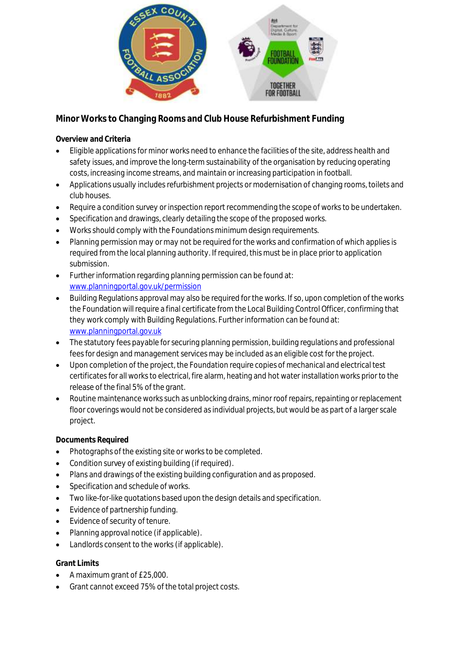

**Minor Works to Changing Rooms and Club House Refurbishment Funding**

**Overview and Criteria**

- Eligible applications for minor works need to enhance the facilities of the site, address health and safety issues, and improve the long-term sustainability of the organisation by reducing operating costs, increasing income streams, and maintain or increasing participation in football.
- Applications usually includes refurbishment projects or modernisation of changing rooms, toilets and club houses.
- Require a condition survey or inspection report recommending the scope of works to be undertaken.
- Specification and drawings, clearly detailing the scope of the proposed works.
- Works should comply with the Foundations minimum design requirements.
- Planning permission may or may not be required for the works and confirmation of which applies is required from the local planning authority. If required, this must be in place prior to application submission.
- Further information regarding planning permission can be found at: [www.planningportal.gov.uk/permission](http://www.planningportal.gov.uk/permissions)
- Building Regulations approval may also be required for the works. If so, upon completion of the works the Foundation will require a final certificate from the Local Building Control Officer, confirming that they work comply with Building Regulations. Further information can be found at: [www.planningportal.gov.uk](http://www.planningportal.gov.uk/)
- The statutory fees payable for securing planning permission, building regulations and professional fees for design and management services may be included as an eligible cost for the project.
- Upon completion of the project, the Foundation require copies of mechanical and electrical test certificates for all works to electrical, fire alarm, heating and hot water installation works prior to the release of the final 5% of the grant.
- Routine maintenance works such as unblocking drains, minor roof repairs, repainting or replacement floor coverings would not be considered as individual projects, but would be as part of a larger scale project.

**Documents Required**

- Photographs of the existing site or works to be completed.
- Condition survey of existing building (if required).
- Plans and drawings of the existing building configuration and as proposed.
- Specification and schedule of works.
- Two like-for-like quotations based upon the design details and specification.
- Evidence of partnership funding.
- Evidence of security of tenure.
- Planning approval notice (if applicable).
- Landlords consent to the works (if applicable).

# **Grant Limits**

- A maximum grant of £25,000.
- Grant cannot exceed 75% of the total project costs.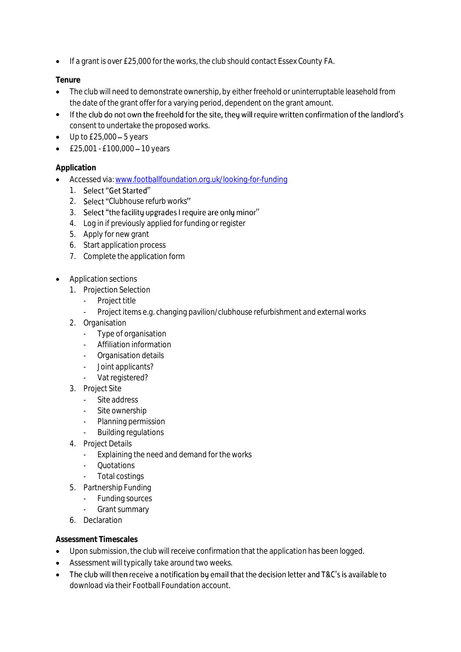• If a grant is over £25,000 for the works, the club should contact Essex County FA.

## **Tenure**

- The club will need to demonstrate ownership, by either freehold or uninterruptable leasehold from the date of the grant offer for a varying period, dependent on the grant amount.
- If the club do not own the freehold for the site, they will require written confirmation of the landlord's consent to undertake the proposed works.
- $\bullet$  Up to £25,000 5 years
- $£25,001 £100,000 10$  years

### **Application**

- Accessed via[: www.footballfoundation.org.uk/looking-for-funding](http://www.footballfoundation.org.uk/looking-for-funding)
	- 1. Select "Get Started"
	- 2. Select "Clubhouse refurb works"
	- 3. Select "the facility upgrades I require are only minor"
	- 4. Log in if previously applied for funding or register
	- 5. Apply for new grant
	- 6. Start application process
	- 7. Complete the application form
- Application sections
	- 1. Projection Selection
		- Project title
		- Project items e.g. changing pavilion/clubhouse refurbishment and external works
	- 2. Organisation
		- Type of organisation
		- Affiliation information
		- Organisation details
		- Joint applicants?
		- Vat registered?
	- 3. Project Site
		- Site address
		- Site ownership
		- Planning permission
		- Building regulations
	- 4. Project Details
		- Explaining the need and demand for the works
		- Quotations
		- Total costings
	- 5. Partnership Funding
		- Funding sources
		- Grant summary
	- 6. Declaration

#### **Assessment Timescales**

- Upon submission, the club will receive confirmation that the application has been logged.
- Assessment will typically take around two weeks.
- The club will then receive a notification by email that the decision letter and T&C's is available to download via their Football Foundation account.